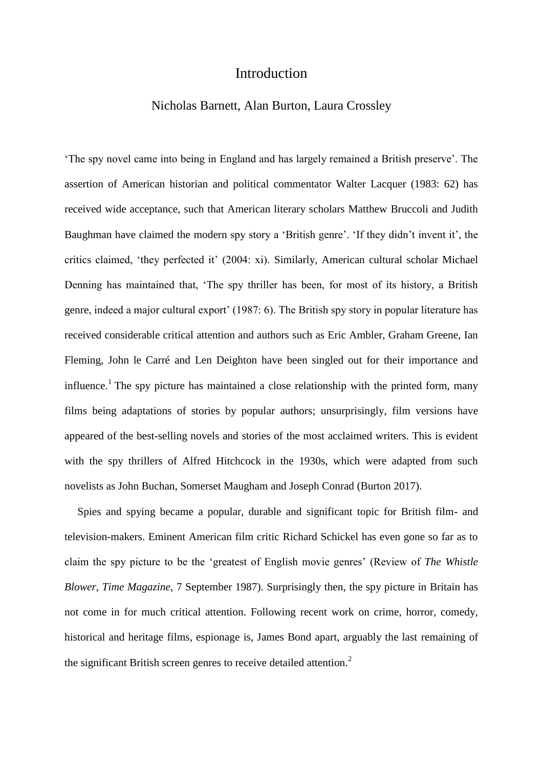## Introduction

## Nicholas Barnett, Alan Burton, Laura Crossley

'The spy novel came into being in England and has largely remained a British preserve'. The assertion of American historian and political commentator Walter Lacquer (1983: 62) has received wide acceptance, such that American literary scholars Matthew Bruccoli and Judith Baughman have claimed the modern spy story a 'British genre'. 'If they didn't invent it', the critics claimed, 'they perfected it' (2004: xi). Similarly, American cultural scholar Michael Denning has maintained that, 'The spy thriller has been, for most of its history, a British genre, indeed a major cultural export' (1987: 6). The British spy story in popular literature has received considerable critical attention and authors such as Eric Ambler, Graham Greene, Ian Fleming, John le Carré and Len Deighton have been singled out for their importance and influence.<sup>1</sup> The spy picture has maintained a close relationship with the printed form, many films being adaptations of stories by popular authors; unsurprisingly, film versions have appeared of the best-selling novels and stories of the most acclaimed writers. This is evident with the spy thrillers of Alfred Hitchcock in the 1930s, which were adapted from such novelists as John Buchan, Somerset Maugham and Joseph Conrad (Burton 2017).

Spies and spying became a popular, durable and significant topic for British film- and television-makers. Eminent American film critic Richard Schickel has even gone so far as to claim the spy picture to be the 'greatest of English movie genres' (Review of *The Whistle Blower*, *Time Magazine*, 7 September 1987). Surprisingly then, the spy picture in Britain has not come in for much critical attention. Following recent work on crime, horror, comedy, historical and heritage films, espionage is, James Bond apart, arguably the last remaining of the significant British screen genres to receive detailed attention.<sup>2</sup>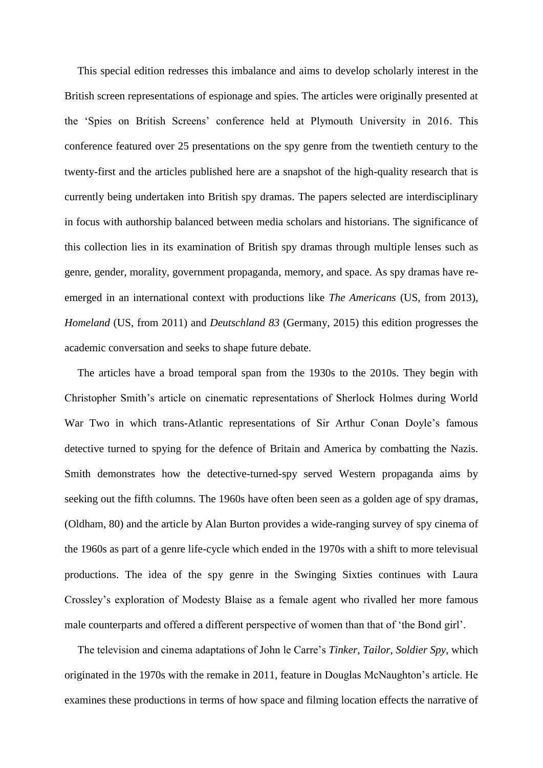This special edition redresses this imbalance and aims to develop scholarly interest in the British screen representations of espionage and spies. The articles were originally presented at the 'Spies on British Screens' conference held at Plymouth University in 2016. This conference featured over 25 presentations on the spy genre from the twentieth century to the twenty-first and the articles published here are a snapshot of the high-quality research that is currently being undertaken into British spy dramas. The papers selected are interdisciplinary in focus with authorship balanced between media scholars and historians. The significance of this collection lies in its examination of British spy dramas through multiple lenses such as genre, gender, morality, government propaganda, memory, and space. As spy dramas have reemerged in an international context with productions like *The Americans* (US, from 2013), *Homeland* (US, from 2011) and *Deutschland 83* (Germany, 2015) this edition progresses the academic conversation and seeks to shape future debate.

The articles have a broad temporal span from the 1930s to the 2010s. They begin with Christopher Smith's article on cinematic representations of Sherlock Holmes during World War Two in which trans-Atlantic representations of Sir Arthur Conan Doyle's famous detective turned to spying for the defence of Britain and America by combatting the Nazis. Smith demonstrates how the detective-turned-spy served Western propaganda aims by seeking out the fifth columns. The 1960s have often been seen as a golden age of spy dramas, (Oldham, 80) and the article by Alan Burton provides a wide-ranging survey of spy cinema of the 1960s as part of a genre life-cycle which ended in the 1970s with a shift to more televisual productions. The idea of the spy genre in the Swinging Sixties continues with Laura Crossley's exploration of Modesty Blaise as a female agent who rivalled her more famous male counterparts and offered a different perspective of women than that of 'the Bond girl'.

The television and cinema adaptations of John le Carre's *Tinker, Tailor, Soldier Spy*, which originated in the 1970s with the remake in 2011, feature in Douglas McNaughton's article. He examines these productions in terms of how space and filming location effects the narrative of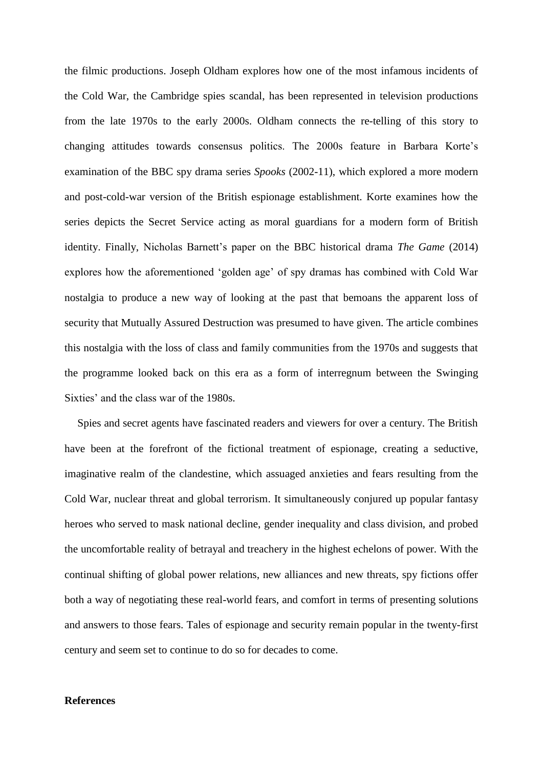the filmic productions. Joseph Oldham explores how one of the most infamous incidents of the Cold War, the Cambridge spies scandal, has been represented in television productions from the late 1970s to the early 2000s. Oldham connects the re-telling of this story to changing attitudes towards consensus politics. The 2000s feature in Barbara Korte's examination of the BBC spy drama series *Spooks* (2002-11), which explored a more modern and post-cold-war version of the British espionage establishment. Korte examines how the series depicts the Secret Service acting as moral guardians for a modern form of British identity. Finally, Nicholas Barnett's paper on the BBC historical drama *The Game* (2014) explores how the aforementioned 'golden age' of spy dramas has combined with Cold War nostalgia to produce a new way of looking at the past that bemoans the apparent loss of security that Mutually Assured Destruction was presumed to have given. The article combines this nostalgia with the loss of class and family communities from the 1970s and suggests that the programme looked back on this era as a form of interregnum between the Swinging Sixties' and the class war of the 1980s.

Spies and secret agents have fascinated readers and viewers for over a century. The British have been at the forefront of the fictional treatment of espionage, creating a seductive, imaginative realm of the clandestine, which assuaged anxieties and fears resulting from the Cold War, nuclear threat and global terrorism. It simultaneously conjured up popular fantasy heroes who served to mask national decline, gender inequality and class division, and probed the uncomfortable reality of betrayal and treachery in the highest echelons of power. With the continual shifting of global power relations, new alliances and new threats, spy fictions offer both a way of negotiating these real-world fears, and comfort in terms of presenting solutions and answers to those fears. Tales of espionage and security remain popular in the twenty-first century and seem set to continue to do so for decades to come.

## **References**